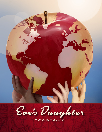



Women The World Over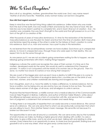# Who Is Eve's Daughter?

She is all of us; daughters, mothers, grandmothers the world over. Eve's very name meant 'Mother of all who have life.' Therefore, every woman today can be Eve's Daughter.

#### **How did God regard woman?**

Keep in mind Eve was the last living thing called into existence. Unlike Adam who was made from the dust of the earth, Eve was made of flesh and bone by the very hand of God. We are told she was to be Adam's partner to complete him, and in God's final act of creation – Eve – his creation was complete. Eve was God's final gift to the world and that gift passed on to us in the form of the gift of co-creation of life.

After thousands of years of masculine dominance, it's time for the restoration of the feminine/ masculine balance as was the plan for Adam and Eve from the time of creation. Both masculine and feminine need the energy of the other in order for the fullness of God's creation to come into existence. Each of us, man and woman, has a part to play in this restoration.

As we learned from the six extraordinary women we have studied, God shows up in unexpected places, to move in unexpected ways, through those who were open to their destiny. We can expect him to do the same through us.

As one person put it, we are not accidents going somewhere waiting for life to happen, we are blessings going somewhere with intent, making things happen!

Indigenous cultures the world over recognize the value of their women; it is time we in the modern, developed world do the same. We would do well to understand this Cheyenne proverb: *"A nation is not conquered until the hearts of its women are on the ground. Then it is done, no matter how brave its warriors or how strong their weapons."*

We are a part of the bigger plan and we each have a destiny to fulfill if this plan is to come to fruition. Our planet is on the brink of ecological destruction; countries are on the brink of war; and men, women, and children worldwide are starving and ravaged by war.

Eve's Daughters, each of us, have the ability to make a difference, to restore balance. Not by force or politics, but by being who we are and by how we choose to live our lives. The world today needs women of all ages, of all races, and all religions to unite in service.

Physician Rachel Naomi Remen, a midlife woman who is medical director of the Commonwealth Cancer Help Program in Bolinas, California, and author of Kitchen Table Wisdom, writes about the difference between service as a form of connection with life, and service that is a veiled form of judgment; a statement that someone is broken and needs fixing.

"In fixing there is an inequality of expertise that can easily become a moral distance. We cannot serve at a distance. We can only serve that to which we are profoundly connected; that which we are willing to touch. This is Mother Teresa's basic message. We serve life not because it is broken but because it is holy."

The opportunities to serve are all around us constantly. We can serve every day by the hundreds of small choices we make, by finding a higher ground when dealing with conflict, to care a little more, to give a little more, and to do what we do best, talking with and relating to other women. Every interaction is an opportunity to serve, to share love and goodwill. Sharing love and goodwill is not a one-way street, what we give away comes back to us.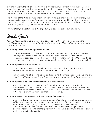In terms of health, the gift of giving results in a stronger immune system, fewer illnesses, and a longer life. As a health strategy alone, service to others makes sense. Every act of kindness and compassion towards others is multiplied when they, in turn, pass it on. One by one, the world becomes a better place. Service is indeed the gift that keeps on giving.

The Women of the Bible are the perfect companions to give encouragement, inspiration, and hope on our journey of service. They have led the way, now we must follow. The self-esteem generated by service to other keeps hopelessness from taking root. From a spiritual perspective, service is a good working definition of spirituality in action.

## *Without others, we wouldn't have the opportunity to become better human beings.*

# Study Guide

*As Eve's Daughters (and Sons) we need to ask ourselves, "How are we exemplifying the teachings we have learned during the study of Women of the Bible?". Here are some important questions to consider.*

## *1. What if you worked at being a better friend?*

• Over time we know any friendship can suffer from differences of opinion, hurt feelings, and neglect. Think what you can do to improve your friendships. Strive to repair friendships as soon as possible while there is still the love for each other. Many friendships grow stronger from shared adversity and pain. Choose to focus on the love, not the hurt.

#### *2. What if you truly learned to forgive?*

- Lack of forgiveness creates a dark place within the heart that prevents you from experiencing the perfect state of happiness that is your birthright.
- To be unforgiving is like taking poison and expecting the other person to die. "*Be kind and merciful, and forgive others, just as God forgave you because of Christ*." (Ephesians 4: 32).

#### *3. What if you actively strive to love others as you love yourself?*

- When you truly love another as yourself, you will actively seek what is best for them.
- How you see and treat others has a lot to say about your state of integrity. We see this demonstrated often in the workplace. Do you love your employer as yourself or is it okay to "borrow" a few things from work that no one will miss?

# *4. What if you did your very best to live at peace with everyone?*

- Imagine a day without second-guessing someone's actions. No back-stabbing gossip, no shifting blame to someone else, and especially letting go of the need to be a "pot-stirrer" when you know of ongoing conflicts involving someone you are talking to.
- When upset, do not throw the first stone. You have no way of knowing what lies in another's heart. Attacking another puts them in a defensive, and thus adversarial, position in which peace is not an option.